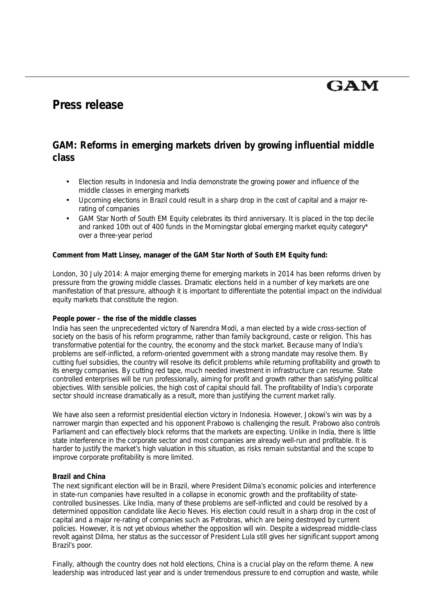# **GAM**

## **Press release**

### **GAM: Reforms in emerging markets driven by growing influential middle class**

- Election results in Indonesia and India demonstrate the growing power and influence of the middle classes in emerging markets
- Upcoming elections in Brazil could result in a sharp drop in the cost of capital and a major rerating of companies
- GAM Star North of South EM Equity celebrates its third anniversary. It is placed in the top decile and ranked 10th out of 400 funds in the Morningstar global emerging market equity category\* over a three-year period

**Comment from Matt Linsey, manager of the GAM Star North of South EM Equity fund:** 

*London, 30 July 2014*: A major emerging theme for emerging markets in 2014 has been reforms driven by pressure from the growing middle classes. Dramatic elections held in a number of key markets are one manifestation of that pressure, although it is important to differentiate the potential impact on the individual equity markets that constitute the region.

#### **People power – the rise of the middle classes**

India has seen the unprecedented victory of Narendra Modi, a man elected by a wide cross-section of society on the basis of his reform programme, rather than family background, caste or religion. This has transformative potential for the country, the economy and the stock market. Because many of India's problems are self-inflicted, a reform-oriented government with a strong mandate may resolve them. By cutting fuel subsidies, the country will resolve its deficit problems while returning profitability and growth to its energy companies. By cutting red tape, much needed investment in infrastructure can resume. State controlled enterprises will be run professionally, aiming for profit and growth rather than satisfying political objectives. With sensible policies, the high cost of capital should fall. The profitability of India's corporate sector should increase dramatically as a result, more than justifying the current market rally.

We have also seen a reformist presidential election victory in Indonesia. However, Jokowi's win was by a narrower margin than expected and his opponent Prabowo is challenging the result. Prabowo also controls Parliament and can effectively block reforms that the markets are expecting. Unlike in India, there is little state interference in the corporate sector and most companies are already well-run and profitable. It is harder to justify the market's high valuation in this situation, as risks remain substantial and the scope to improve corporate profitability is more limited.

#### **Brazil and China**

The next significant election will be in Brazil, where President Dilma's economic policies and interference in state-run companies have resulted in a collapse in economic growth and the profitability of statecontrolled businesses. Like India, many of these problems are self-inflicted and could be resolved by a determined opposition candidate like Aecio Neves. His election could result in a sharp drop in the cost of capital and a major re-rating of companies such as Petrobras, which are being destroyed by current policies. However, it is not yet obvious whether the opposition will win. Despite a widespread middle-class revolt against Dilma, her status as the successor of President Lula still gives her significant support among Brazil's poor.

Finally, although the country does not hold elections, China is a crucial play on the reform theme. A new leadership was introduced last year and is under tremendous pressure to end corruption and waste, while